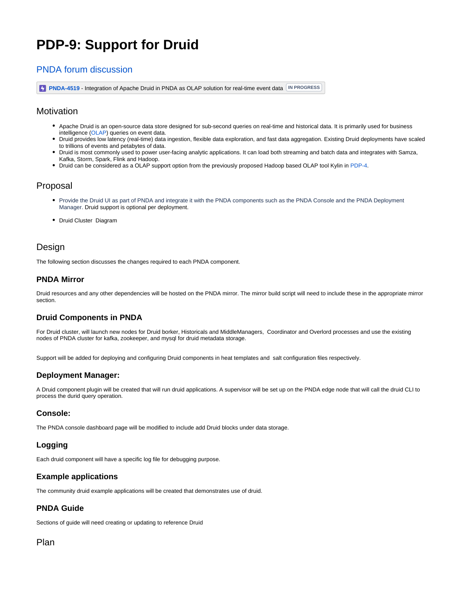# **PDP-9: Support for Druid**

# [PNDA forum discussion](https://groups.google.com/forum/#!topic/pnda-developers/z5F7-1o24cM)

**[PNDA-4519](https://jira.pnda.io/browse/PNDA-4519)** - Integration of Apache Druid in PNDA as OLAP solution for real-time event data **IN PROGRESS** 

## **Motivation**

- Apache Druid is an open-source data store designed for sub-second queries on real-time and historical data. It is primarily used for business intelligence [\(OLAP](http://en.wikipedia.org/wiki/Online_analytical_processing)) queries on event data.
- Druid provides low latency (real-time) data ingestion, flexible data exploration, and fast data aggregation. Existing Druid deployments have scaled to trillions of events and petabytes of data.
- Druid is most commonly used to power user-facing analytic applications. It can load both streaming and batch data and integrates with Samza, Kafka, Storm, Spark, Flink and Hadoop.
- Druid can be considered as a OLAP support option from the previously proposed Hadoop based OLAP tool Kylin in [PDP-4.](https://cwiki.pnda.io/display/public/PNDA/PDP-4%3A+Support+for+Kylin)

## Proposal

- Provide the Druid UI as part of PNDA and integrate it with the PNDA components such as the PNDA Console and the PNDA Deployment Manager. Druid support is optional per deployment.
- Druid Cluster Diagram

## **Design**

The following section discusses the changes required to each PNDA component.

#### **PNDA Mirror**

Druid resources and any other dependencies will be hosted on the PNDA mirror. The mirror build script will need to include these in the appropriate mirror section.

### **Druid Components in PNDA**

For Druid cluster, will launch new nodes for Druid borker, Historicals and MiddleManagers, Coordinator and Overlord processes and use the existing nodes of PNDA cluster for kafka, zookeeper, and mysql for druid metadata storage.

Support will be added for deploying and configuring Druid components in heat templates and salt configuration files respectively.

#### **Deployment Manager:**

A Druid component plugin will be created that will run druid applications. A supervisor will be set up on the PNDA edge node that will call the druid CLI to process the durid query operation.

#### **Console:**

The PNDA console dashboard page will be modified to include add Druid blocks under data storage.

### **Logging**

Each druid component will have a specific log file for debugging purpose.

### **Example applications**

The community druid example applications will be created that demonstrates use of druid.

#### **PNDA Guide**

Sections of guide will need creating or updating to reference Druid

## Plan